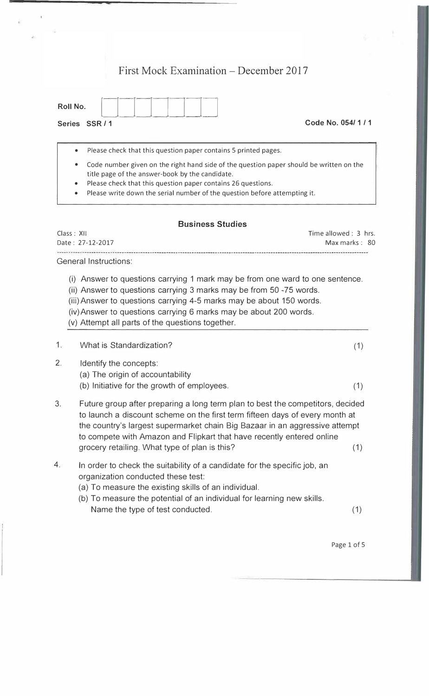## First Mock Examination – December 2017

| Roll No.                                                      |  |                  |
|---------------------------------------------------------------|--|------------------|
| <b>Series</b><br>ee D<br>$\overline{\phantom{a}}$<br>$\cdots$ |  | Code No. 054/1/1 |

• Please check that this question paper contains 5 printed pages.

- Code number given on the right hand side of the question paper should be written on the title page of the answer-book by the candidate.
- Please check that this question paper contains 26 questions.
- Please write down the serial number of the question before attempting it.

## **Business Studies**

Class: XII Time allowed : 3 hrs. Date: 27-12-2017 Max marks: 80 -------------------------

General Instructions:

- (i) Answer to questions carrying 1 mark may be from one ward to one sentence.
- (ii) Answer to questions carrying 3 marks may be from 50 -75 words.
- (iii) Answer to questions carrying 4-5 marks may be about 150 words.
- (iv)Answer to questions carrying 6 marks may be about 200 words.
- (v) Attempt all parts of the questions together.

|  | What is Standardization? |  |
|--|--------------------------|--|
|--|--------------------------|--|

- 2. Identify the concepts:
	- (a) The origin of accountability
	- (b) Initiative for the growth of employees.
- 3. Future group after preparing a long term plan to best the competitors, decided to launch a discount scheme on the first term fifteen days of every month at the country's largest supermarket chain Big Bazaar in an aggressive attempt to compete with Amazon and Flipkart that have recently entered online grocery retailing. What type of plan is this? (1)
- 4. In order to check the suitability of a candidate for the specific job, an organization conducted these test:
	- (a) To measure the existing skills of an individual.
	- (b) To measure the potential of an individual for learning new skills. Name the type of test conducted. (1) (1)

(1)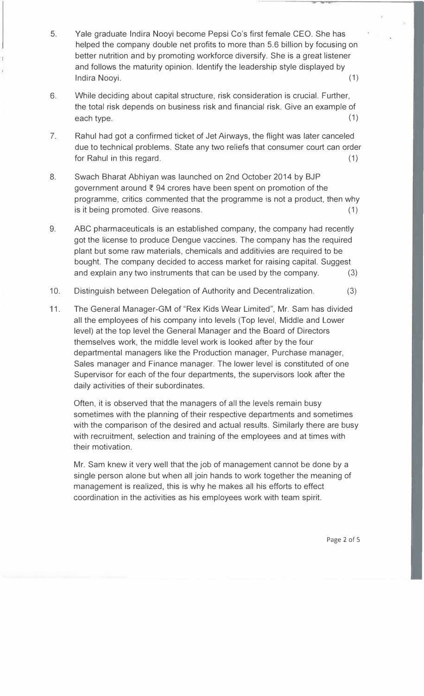- 5. Yale graduate Indira Nooyi become Pepsi Co's first female CEO. She has helped the company double net profits to more than 5.6 billion by focusing on better nutrition and by promoting workforce diversify. She is a great listener and follows the maturity opinion. Identify the leadership style displayed by Indira Nooyi. (1)
- 6. While deciding about capital structure, risk consideration is crucial. Further, the total risk depends on business risk and financial risk. Give an example of each type. (1)
- 7. Rahul had got a confirmed ticket of Jet Airways, the flight was later canceled due to technical problems. State any two reliefs that consumer court can order for Rahul in this regard. (1)
- 8. Swach Bharat Abhiyan was launched on 2nd October 2014 by BJP government around  $\bar{\xi}$  94 crores have been spent on promotion of the programme, critics commented that the programme is not a product, then why is it being promoted. Give reasons. (1)
- 9. ABC pharmaceuticals is an established company, the company had recently got the license to produce Dengue vaccines. The company has the required plant but some raw materials, chemicals and additivies are required to be bought. The company decided to access market for raising capital. Suggest and explain any two instruments that can be used by the company. (3)
- 10. Distinguish between Delegation of Authority and Decentralization. (3)
- 11. The General Manager-GM of "Rex Kids Wear Limited", Mr. Sam has divided all the employees of his company into levels (Top level, Middle and Lower level) at the top level the General Manager and the Board of Directors themselves work, the middle level work is looked after by the four departmental managers like the Production manager, Purchase manager, Sales manager and Finance manager. The lower level is constituted of one Supervisor for each of the four departments, the supervisors look after the daily activities of their subordinates.

Often, it is observed that the managers of all the levels remain busy sometimes with the planning of their respective departments and sometimes with the comparison of the desired and actual results. Similarly there are busy with recruitment, selection and training of the employees and at times with their motivation.

Mr. Sam knew it very well that the job of management cannot be done by a single person alone but when all join hands to work together the meaning of management is realized, this is why he makes all his efforts to effect coordination in the activities as his employees work with team spirit.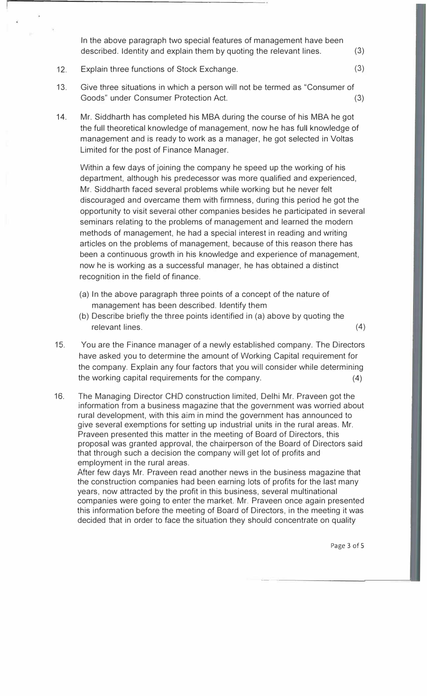In the above paragraph two special features of management have been described. Identity and explain them by quoting the relevant lines. (3)

- 12. Explain three functions of Stock Exchange. (3)
- 13. Give three situations in which a person will not be termed as "Consumer of Goods" under Consumer Protection Act. (3)
- 14. Mr. Siddharth has completed his MBA during the course of his MBA he got the full theoretical knowledge of management, now he has full knowledge of management and is ready to work as a manager, he got selected in Valtas Limited for the post of Finance Manager.

Within a few days of joining the company he speed up the working of his department, although his predecessor was more qualified and experienced, Mr. Siddharth faced several problems while working but he never felt discouraged and overcame them with firmness, during this period he got the opportunity to visit several other companies besides he participated in several seminars relating to the problems of management and learned the modern methods of management, he had a special interest in reading and writing articles on the problems of management, because of this reason there has been a continuous growth in his knowledge and experience of management, now he is working as a successful manager, he has obtained a distinct recognition in the field of finance.

- (a) In the above paragraph three points of a concept of the nature of management has been described. Identify them
- (b) Describe briefly the three points identified in (a) above by quoting the relevant lines. (4)
- 15. You are the Finance manager of a newly established company. The Directors have asked you to determine the amount of Working Capital requirement for the company. Explain any four factors that you will consider while determining the working capital requirements for the company. (4)
- 16. The Managing Director CHO construction limited, Delhi Mr. Praveen got the information from a business magazine that the government was worried about rural development, with this aim in mind the government has announced to give several exemptions for setting up industrial units in the rural areas. Mr. Praveen presented this matter in the meeting of Board of Directors, this proposal was granted approval, the chairperson of the Board of Directors said that through such a decision the company will get lot of profits and employment in the rural areas.

After few days Mr. Praveen read another news in the business magazine that the construction companies had been earning lots of profits for the last many years, now attracted by the profit in this business, several multinational companies were going to enter the market. Mr. Praveen once again presented this information before the meeting of Board of Directors, in the meeting it was decided that in order to face the situation they should concentrate on quality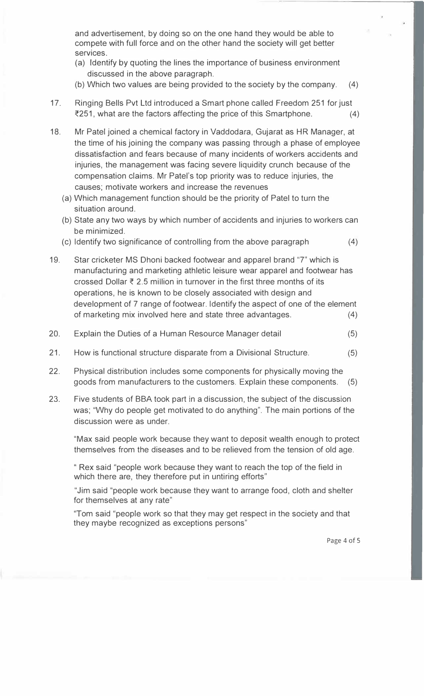and advertisement, by doing so on the one hand they would be able to compete with full force and on the other hand the society will get better services.

- (a) Identify by quoting the lines the importance of business environment discussed in the above paragraph.
- (b) Which two values are being provided to the society by the company. (4)
- 17. Ringing Bells Pvt Ltd introduced a Smart phone called Freedom 251 for just  $\overline{251}$ , what are the factors affecting the price of this Smartphone. (4)
- 18. Mr Patel joined a chemical factory in Vaddodara, Gujarat as HR Manager, at the time of his joining the company was passing through a phase of employee dissatisfaction and fears because of many incidents of workers accidents and injuries, the management was facing severe liquidity crunch because of the compensation claims. Mr Patel's top priority was to reduce injuries, the causes; motivate workers and increase the revenues
	- (a) Which management function should be the priority of Patel to turn the situation around.
	- (b) State any two ways by which number of accidents and injuries to workers can be minimized.
	- (c) Identify two significance of controlling from the above paragraph (4)
- 19. Star cricketer MS Dhoni backed footwear and apparel brand "7" which is manufacturing and marketing athletic leisure wear apparel and footwear has crossed Dollar  $\bar{\tau}$  2.5 million in turnover in the first three months of its operations, he is known to be closely associated with design and development of 7 range of footwear. Identify the aspect of one of the element of marketing mix involved here and state three advantages. (4)
- 20. Explain the Duties of a Human Resource Manager detail (5)
- 21. How is functional structure disparate from a Divisional Structure. (5)
- 22. Physical distribution includes some components for physically moving the goods from manufacturers to the customers. Explain these components. (5)
- 23. Five students of BBA took part in a discussion, the subject of the discussion was; "Why do people get motivated to do anything". The main portions of the discussion were as under.

"Max said people work because they want to deposit wealth enough to protect themselves from the diseases and to be relieved from the tension of old age.

" Rex said "people work because they want to reach the top of the field in which there are, they therefore put in untiring efforts"

"Jim said "people work because they want to arrange food, cloth and shelter for themselves at any rate"

"Tom said "people work so that they may get respect in the society and that they maybe recognized as exceptions persons"